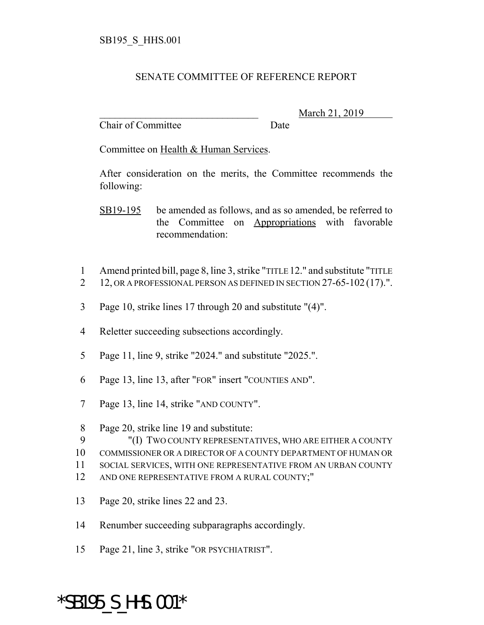## SENATE COMMITTEE OF REFERENCE REPORT

Chair of Committee Date

\_\_\_\_\_\_\_\_\_\_\_\_\_\_\_\_\_\_\_\_\_\_\_\_\_\_\_\_\_\_\_ March 21, 2019

Committee on Health & Human Services.

After consideration on the merits, the Committee recommends the following:

SB19-195 be amended as follows, and as so amended, be referred to the Committee on Appropriations with favorable recommendation:

- 1 Amend printed bill, page 8, line 3, strike "TITLE 12." and substitute "TITLE
- 2 12, OR A PROFESSIONAL PERSON AS DEFINED IN SECTION 27-65-102 (17).".
- 3 Page 10, strike lines 17 through 20 and substitute "(4)".
- 4 Reletter succeeding subsections accordingly.
- 5 Page 11, line 9, strike "2024." and substitute "2025.".
- 6 Page 13, line 13, after "FOR" insert "COUNTIES AND".
- 7 Page 13, line 14, strike "AND COUNTY".

- 12 AND ONE REPRESENTATIVE FROM A RURAL COUNTY;"
- 13 Page 20, strike lines 22 and 23.
- 14 Renumber succeeding subparagraphs accordingly.
- 15 Page 21, line 3, strike "OR PSYCHIATRIST".

## \*SB195\_S\_HHS.001\*

<sup>8</sup> Page 20, strike line 19 and substitute:

<sup>9</sup> "(I) TWO COUNTY REPRESENTATIVES, WHO ARE EITHER A COUNTY

<sup>10</sup> COMMISSIONER OR A DIRECTOR OF A COUNTY DEPARTMENT OF HUMAN OR

<sup>11</sup> SOCIAL SERVICES, WITH ONE REPRESENTATIVE FROM AN URBAN COUNTY